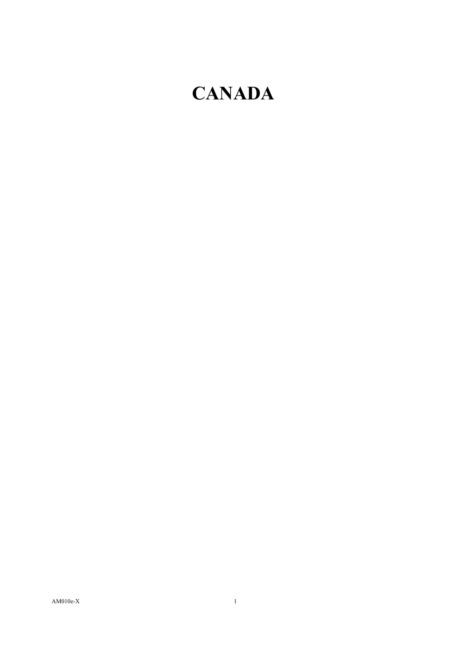## **CANADA**